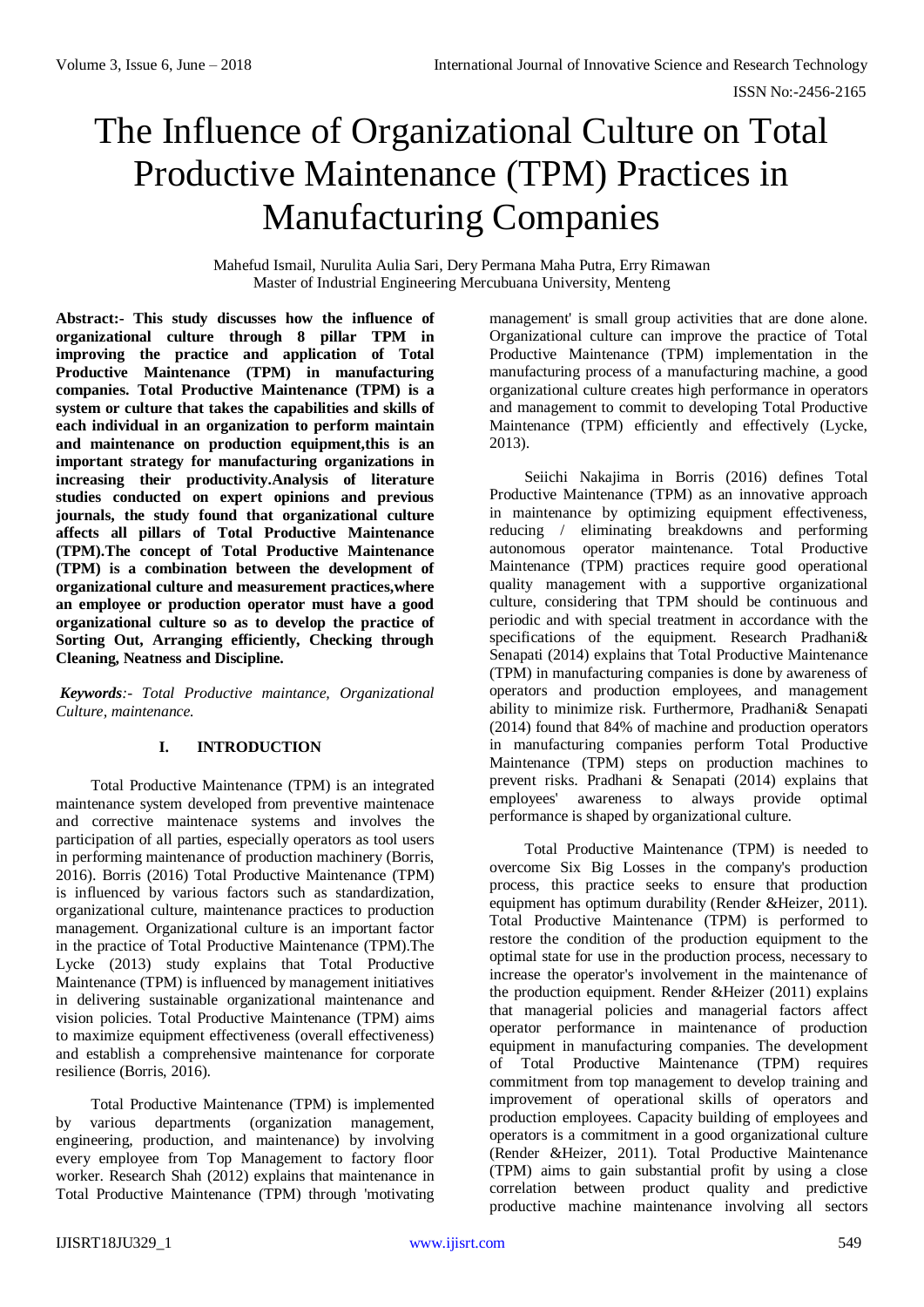# The Influence of Organizational Culture on Total Productive Maintenance (TPM) Practices in Manufacturing Companies

Mahefud Ismail, Nurulita Aulia Sari, Dery Permana Maha Putra, Erry Rimawan Master of Industrial Engineering Mercubuana University, Menteng

**Abstract:- This study discusses how the influence of organizational culture through 8 pillar TPM in improving the practice and application of Total Productive Maintenance (TPM) in manufacturing companies. Total Productive Maintenance (TPM) is a system or culture that takes the capabilities and skills of each individual in an organization to perform maintain and maintenance on production equipment,this is an important strategy for manufacturing organizations in increasing their productivity.Analysis of literature studies conducted on expert opinions and previous journals, the study found that organizational culture affects all pillars of Total Productive Maintenance (TPM).The concept of Total Productive Maintenance (TPM) is a combination between the development of organizational culture and measurement practices,where an employee or production operator must have a good organizational culture so as to develop the practice of Sorting Out, Arranging efficiently, Checking through Cleaning, Neatness and Discipline.**

*Keywords:- Total Productive maintance, Organizational Culture, maintenance.*

## **I. INTRODUCTION**

Total Productive Maintenance (TPM) is an integrated maintenance system developed from preventive maintenace and corrective maintenace systems and involves the participation of all parties, especially operators as tool users in performing maintenance of production machinery (Borris, 2016). Borris (2016) Total Productive Maintenance (TPM) is influenced by various factors such as standardization, organizational culture, maintenance practices to production management. Organizational culture is an important factor in the practice of Total Productive Maintenance (TPM).The Lycke (2013) study explains that Total Productive Maintenance (TPM) is influenced by management initiatives in delivering sustainable organizational maintenance and vision policies. Total Productive Maintenance (TPM) aims to maximize equipment effectiveness (overall effectiveness) and establish a comprehensive maintenance for corporate resilience (Borris, 2016).

Total Productive Maintenance (TPM) is implemented by various departments (organization management, engineering, production, and maintenance) by involving every employee from Top Management to factory floor worker. Research Shah (2012) explains that maintenance in Total Productive Maintenance (TPM) through 'motivating management' is small group activities that are done alone. Organizational culture can improve the practice of Total Productive Maintenance (TPM) implementation in the manufacturing process of a manufacturing machine, a good organizational culture creates high performance in operators and management to commit to developing Total Productive Maintenance (TPM) efficiently and effectively (Lycke, 2013).

Seiichi Nakajima in Borris (2016) defines Total Productive Maintenance (TPM) as an innovative approach in maintenance by optimizing equipment effectiveness, reducing / eliminating breakdowns and performing autonomous operator maintenance. Total Productive Maintenance (TPM) practices require good operational quality management with a supportive organizational culture, considering that TPM should be continuous and periodic and with special treatment in accordance with the specifications of the equipment. Research Pradhani& Senapati (2014) explains that Total Productive Maintenance (TPM) in manufacturing companies is done by awareness of operators and production employees, and management ability to minimize risk. Furthermore, Pradhani& Senapati (2014) found that 84% of machine and production operators in manufacturing companies perform Total Productive Maintenance (TPM) steps on production machines to prevent risks. Pradhani & Senapati (2014) explains that employees' awareness to always provide optimal performance is shaped by organizational culture.

Total Productive Maintenance (TPM) is needed to overcome Six Big Losses in the company's production process, this practice seeks to ensure that production equipment has optimum durability (Render &Heizer, 2011). Total Productive Maintenance (TPM) is performed to restore the condition of the production equipment to the optimal state for use in the production process, necessary to increase the operator's involvement in the maintenance of the production equipment. Render &Heizer (2011) explains that managerial policies and managerial factors affect operator performance in maintenance of production equipment in manufacturing companies. The development of Total Productive Maintenance (TPM) requires commitment from top management to develop training and improvement of operational skills of operators and production employees. Capacity building of employees and operators is a commitment in a good organizational culture (Render &Heizer, 2011). Total Productive Maintenance (TPM) aims to gain substantial profit by using a close correlation between product quality and predictive productive machine maintenance involving all sectors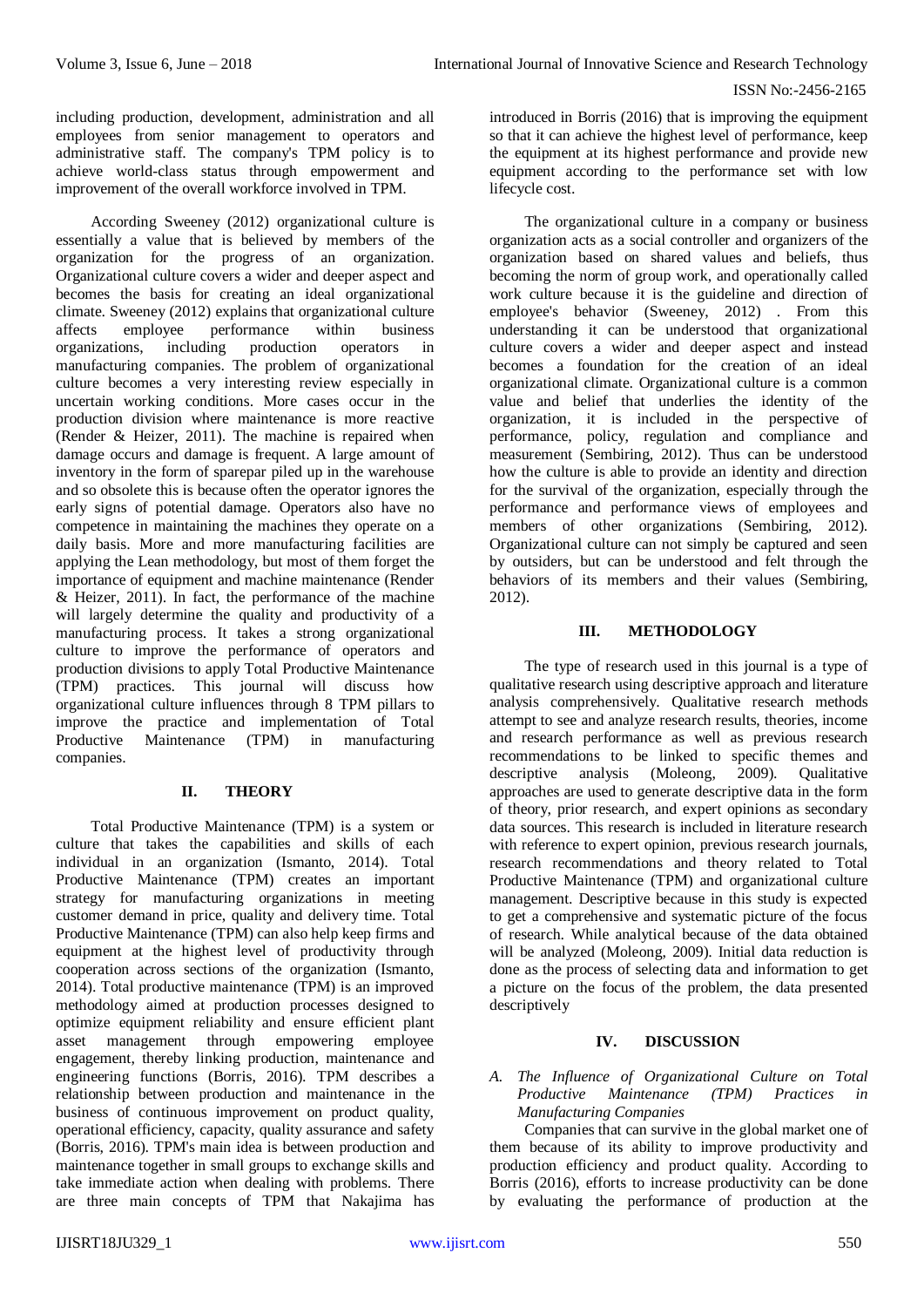including production, development, administration and all employees from senior management to operators and administrative staff. The company's TPM policy is to achieve world-class status through empowerment and improvement of the overall workforce involved in TPM.

According Sweeney (2012) organizational culture is essentially a value that is believed by members of the organization for the progress of an organization. Organizational culture covers a wider and deeper aspect and becomes the basis for creating an ideal organizational climate. Sweeney (2012) explains that organizational culture affects employee performance within business organizations, including production operators in manufacturing companies. The problem of organizational culture becomes a very interesting review especially in uncertain working conditions. More cases occur in the production division where maintenance is more reactive (Render & Heizer, 2011). The machine is repaired when damage occurs and damage is frequent. A large amount of inventory in the form of sparepar piled up in the warehouse and so obsolete this is because often the operator ignores the early signs of potential damage. Operators also have no competence in maintaining the machines they operate on a daily basis. More and more manufacturing facilities are applying the Lean methodology, but most of them forget the importance of equipment and machine maintenance (Render & Heizer, 2011). In fact, the performance of the machine will largely determine the quality and productivity of a manufacturing process. It takes a strong organizational culture to improve the performance of operators and production divisions to apply Total Productive Maintenance (TPM) practices. This journal will discuss how organizational culture influences through 8 TPM pillars to improve the practice and implementation of Total Productive Maintenance (TPM) in manufacturing companies.

#### **II. THEORY**

Total Productive Maintenance (TPM) is a system or culture that takes the capabilities and skills of each individual in an organization (Ismanto, 2014). Total Productive Maintenance (TPM) creates an important strategy for manufacturing organizations in meeting customer demand in price, quality and delivery time. Total Productive Maintenance (TPM) can also help keep firms and equipment at the highest level of productivity through cooperation across sections of the organization (Ismanto, 2014). Total productive maintenance (TPM) is an improved methodology aimed at production processes designed to optimize equipment reliability and ensure efficient plant asset management through empowering employee engagement, thereby linking production, maintenance and engineering functions (Borris, 2016). TPM describes a relationship between production and maintenance in the business of continuous improvement on product quality, operational efficiency, capacity, quality assurance and safety (Borris, 2016). TPM's main idea is between production and maintenance together in small groups to exchange skills and take immediate action when dealing with problems. There are three main concepts of TPM that Nakajima has introduced in Borris (2016) that is improving the equipment so that it can achieve the highest level of performance, keep the equipment at its highest performance and provide new equipment according to the performance set with low lifecycle cost.

The organizational culture in a company or business organization acts as a social controller and organizers of the organization based on shared values and beliefs, thus becoming the norm of group work, and operationally called work culture because it is the guideline and direction of employee's behavior (Sweeney, 2012) . From this understanding it can be understood that organizational culture covers a wider and deeper aspect and instead becomes a foundation for the creation of an ideal organizational climate. Organizational culture is a common value and belief that underlies the identity of the organization, it is included in the perspective of performance, policy, regulation and compliance and measurement (Sembiring, 2012). Thus can be understood how the culture is able to provide an identity and direction for the survival of the organization, especially through the performance and performance views of employees and members of other organizations (Sembiring, 2012). Organizational culture can not simply be captured and seen by outsiders, but can be understood and felt through the behaviors of its members and their values (Sembiring, 2012).

#### **III. METHODOLOGY**

The type of research used in this journal is a type of qualitative research using descriptive approach and literature analysis comprehensively. Qualitative research methods attempt to see and analyze research results, theories, income and research performance as well as previous research recommendations to be linked to specific themes and descriptive analysis (Moleong, 2009). Qualitative approaches are used to generate descriptive data in the form of theory, prior research, and expert opinions as secondary data sources. This research is included in literature research with reference to expert opinion, previous research journals, research recommendations and theory related to Total Productive Maintenance (TPM) and organizational culture management. Descriptive because in this study is expected to get a comprehensive and systematic picture of the focus of research. While analytical because of the data obtained will be analyzed (Moleong, 2009). Initial data reduction is done as the process of selecting data and information to get a picture on the focus of the problem, the data presented descriptively

#### **IV. DISCUSSION**

*A. The Influence of Organizational Culture on Total Productive Maintenance (TPM) Practices in Manufacturing Companies*

Companies that can survive in the global market one of them because of its ability to improve productivity and production efficiency and product quality. According to Borris (2016), efforts to increase productivity can be done by evaluating the performance of production at the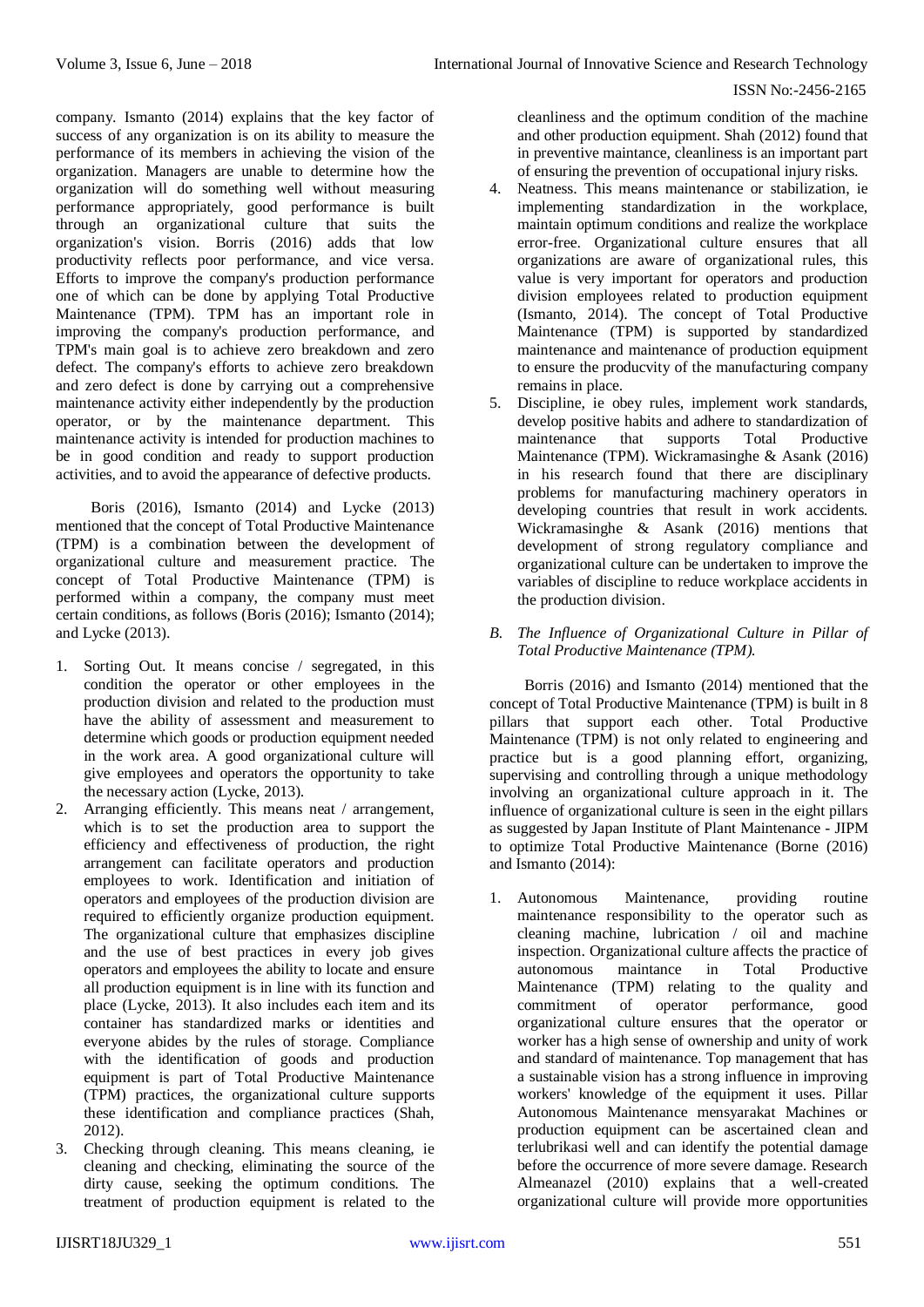company. Ismanto (2014) explains that the key factor of success of any organization is on its ability to measure the performance of its members in achieving the vision of the organization. Managers are unable to determine how the organization will do something well without measuring performance appropriately, good performance is built through an organizational culture that suits the organization's vision. Borris (2016) adds that low productivity reflects poor performance, and vice versa. Efforts to improve the company's production performance one of which can be done by applying Total Productive Maintenance (TPM). TPM has an important role in improving the company's production performance, and TPM's main goal is to achieve zero breakdown and zero defect. The company's efforts to achieve zero breakdown and zero defect is done by carrying out a comprehensive maintenance activity either independently by the production operator, or by the maintenance department. This maintenance activity is intended for production machines to be in good condition and ready to support production activities, and to avoid the appearance of defective products.

Boris (2016), Ismanto (2014) and Lycke (2013) mentioned that the concept of Total Productive Maintenance (TPM) is a combination between the development of organizational culture and measurement practice. The concept of Total Productive Maintenance (TPM) is performed within a company, the company must meet certain conditions, as follows (Boris (2016); Ismanto (2014); and Lycke (2013).

- 1. Sorting Out. It means concise / segregated, in this condition the operator or other employees in the production division and related to the production must have the ability of assessment and measurement to determine which goods or production equipment needed in the work area. A good organizational culture will give employees and operators the opportunity to take the necessary action (Lycke, 2013).
- 2. Arranging efficiently. This means neat / arrangement, which is to set the production area to support the efficiency and effectiveness of production, the right arrangement can facilitate operators and production employees to work. Identification and initiation of operators and employees of the production division are required to efficiently organize production equipment. The organizational culture that emphasizes discipline and the use of best practices in every job gives operators and employees the ability to locate and ensure all production equipment is in line with its function and place (Lycke, 2013). It also includes each item and its container has standardized marks or identities and everyone abides by the rules of storage. Compliance with the identification of goods and production equipment is part of Total Productive Maintenance (TPM) practices, the organizational culture supports these identification and compliance practices (Shah, 2012).
- 3. Checking through cleaning. This means cleaning, ie cleaning and checking, eliminating the source of the dirty cause, seeking the optimum conditions. The treatment of production equipment is related to the

cleanliness and the optimum condition of the machine and other production equipment. Shah (2012) found that in preventive maintance, cleanliness is an important part of ensuring the prevention of occupational injury risks.

- 4. Neatness. This means maintenance or stabilization, ie implementing standardization in the workplace, maintain optimum conditions and realize the workplace error-free. Organizational culture ensures that all organizations are aware of organizational rules, this value is very important for operators and production division employees related to production equipment (Ismanto, 2014). The concept of Total Productive Maintenance (TPM) is supported by standardized maintenance and maintenance of production equipment to ensure the producvity of the manufacturing company remains in place.
- 5. Discipline, ie obey rules, implement work standards, develop positive habits and adhere to standardization of maintenance that supports Total Productive Maintenance (TPM). Wickramasinghe & Asank (2016) in his research found that there are disciplinary problems for manufacturing machinery operators in developing countries that result in work accidents. Wickramasinghe & Asank (2016) mentions that development of strong regulatory compliance and organizational culture can be undertaken to improve the variables of discipline to reduce workplace accidents in the production division.
- *B. The Influence of Organizational Culture in Pillar of Total Productive Maintenance (TPM).*

Borris (2016) and Ismanto (2014) mentioned that the concept of Total Productive Maintenance (TPM) is built in 8 pillars that support each other. Total Productive Maintenance (TPM) is not only related to engineering and practice but is a good planning effort, organizing, supervising and controlling through a unique methodology involving an organizational culture approach in it. The influence of organizational culture is seen in the eight pillars as suggested by Japan Institute of Plant Maintenance - JIPM to optimize Total Productive Maintenance (Borne (2016) and Ismanto (2014):

1. Autonomous Maintenance, providing routine maintenance responsibility to the operator such as cleaning machine, lubrication / oil and machine inspection. Organizational culture affects the practice of autonomous maintance in Total Productive Maintenance (TPM) relating to the quality and commitment of operator performance, good organizational culture ensures that the operator or worker has a high sense of ownership and unity of work and standard of maintenance. Top management that has a sustainable vision has a strong influence in improving workers' knowledge of the equipment it uses. Pillar Autonomous Maintenance mensyarakat Machines or production equipment can be ascertained clean and terlubrikasi well and can identify the potential damage before the occurrence of more severe damage. Research Almeanazel (2010) explains that a well-created organizational culture will provide more opportunities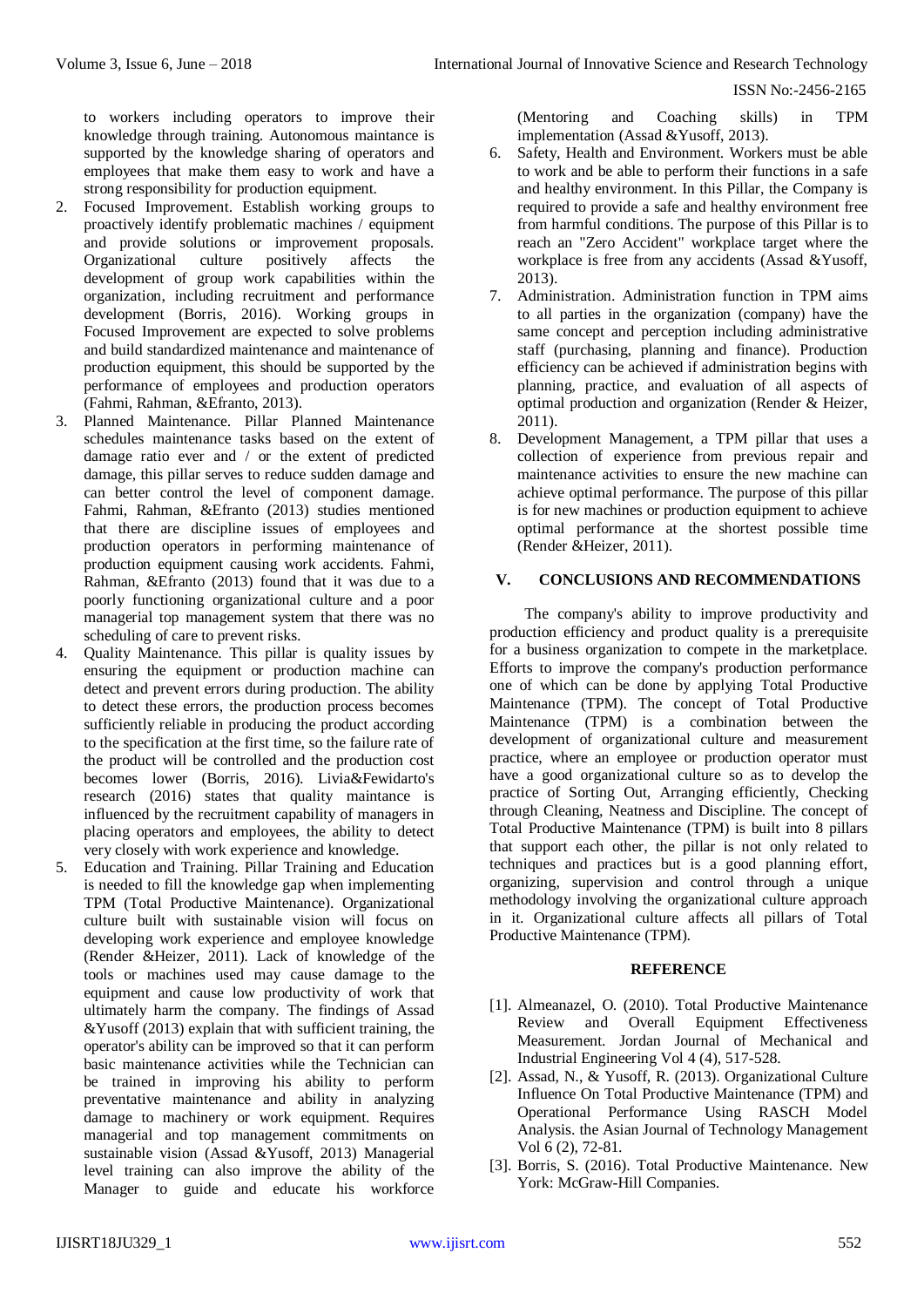ISSN No:-2456-2165

to workers including operators to improve their knowledge through training. Autonomous maintance is supported by the knowledge sharing of operators and employees that make them easy to work and have a strong responsibility for production equipment.

- 2. Focused Improvement. Establish working groups to proactively identify problematic machines / equipment and provide solutions or improvement proposals. Organizational culture positively affects the development of group work capabilities within the organization, including recruitment and performance development (Borris, 2016). Working groups in Focused Improvement are expected to solve problems and build standardized maintenance and maintenance of production equipment, this should be supported by the performance of employees and production operators (Fahmi, Rahman, &Efranto, 2013).
- 3. Planned Maintenance. Pillar Planned Maintenance schedules maintenance tasks based on the extent of damage ratio ever and / or the extent of predicted damage, this pillar serves to reduce sudden damage and can better control the level of component damage. Fahmi, Rahman, &Efranto (2013) studies mentioned that there are discipline issues of employees and production operators in performing maintenance of production equipment causing work accidents. Fahmi, Rahman, &Efranto (2013) found that it was due to a poorly functioning organizational culture and a poor managerial top management system that there was no scheduling of care to prevent risks.
- 4. Quality Maintenance. This pillar is quality issues by ensuring the equipment or production machine can detect and prevent errors during production. The ability to detect these errors, the production process becomes sufficiently reliable in producing the product according to the specification at the first time, so the failure rate of the product will be controlled and the production cost becomes lower (Borris, 2016). Livia&Fewidarto's research (2016) states that quality maintance is influenced by the recruitment capability of managers in placing operators and employees, the ability to detect very closely with work experience and knowledge.
- 5. Education and Training. Pillar Training and Education is needed to fill the knowledge gap when implementing TPM (Total Productive Maintenance). Organizational culture built with sustainable vision will focus on developing work experience and employee knowledge (Render &Heizer, 2011). Lack of knowledge of the tools or machines used may cause damage to the equipment and cause low productivity of work that ultimately harm the company. The findings of Assad  $&$ Yusoff (2013) explain that with sufficient training, the operator's ability can be improved so that it can perform basic maintenance activities while the Technician can be trained in improving his ability to perform preventative maintenance and ability in analyzing damage to machinery or work equipment. Requires managerial and top management commitments on sustainable vision (Assad &Yusoff, 2013) Managerial level training can also improve the ability of the Manager to guide and educate his workforce

(Mentoring and Coaching skills) in TPM implementation (Assad &Yusoff, 2013).

- 6. Safety, Health and Environment. Workers must be able to work and be able to perform their functions in a safe and healthy environment. In this Pillar, the Company is required to provide a safe and healthy environment free from harmful conditions. The purpose of this Pillar is to reach an "Zero Accident" workplace target where the workplace is free from any accidents (Assad &Yusoff, 2013).
- 7. Administration. Administration function in TPM aims to all parties in the organization (company) have the same concept and perception including administrative staff (purchasing, planning and finance). Production efficiency can be achieved if administration begins with planning, practice, and evaluation of all aspects of optimal production and organization (Render & Heizer, 2011).
- 8. Development Management, a TPM pillar that uses a collection of experience from previous repair and maintenance activities to ensure the new machine can achieve optimal performance. The purpose of this pillar is for new machines or production equipment to achieve optimal performance at the shortest possible time (Render &Heizer, 2011).

### **V. CONCLUSIONS AND RECOMMENDATIONS**

The company's ability to improve productivity and production efficiency and product quality is a prerequisite for a business organization to compete in the marketplace. Efforts to improve the company's production performance one of which can be done by applying Total Productive Maintenance (TPM). The concept of Total Productive Maintenance (TPM) is a combination between the development of organizational culture and measurement practice, where an employee or production operator must have a good organizational culture so as to develop the practice of Sorting Out, Arranging efficiently, Checking through Cleaning, Neatness and Discipline. The concept of Total Productive Maintenance (TPM) is built into 8 pillars that support each other, the pillar is not only related to techniques and practices but is a good planning effort, organizing, supervision and control through a unique methodology involving the organizational culture approach in it. Organizational culture affects all pillars of Total Productive Maintenance (TPM).

#### **REFERENCE**

- [1]. Almeanazel, O. (2010). Total Productive Maintenance Review and Overall Equipment Effectiveness Measurement. Jordan Journal of Mechanical and Industrial Engineering Vol 4 (4), 517-528.
- [2]. Assad, N., & Yusoff, R. (2013). Organizational Culture Influence On Total Productive Maintenance (TPM) and Operational Performance Using RASCH Model Analysis. the Asian Journal of Technology Management Vol 6 (2), 72-81.
- [3]. Borris, S. (2016). Total Productive Maintenance. New York: McGraw-Hill Companies.